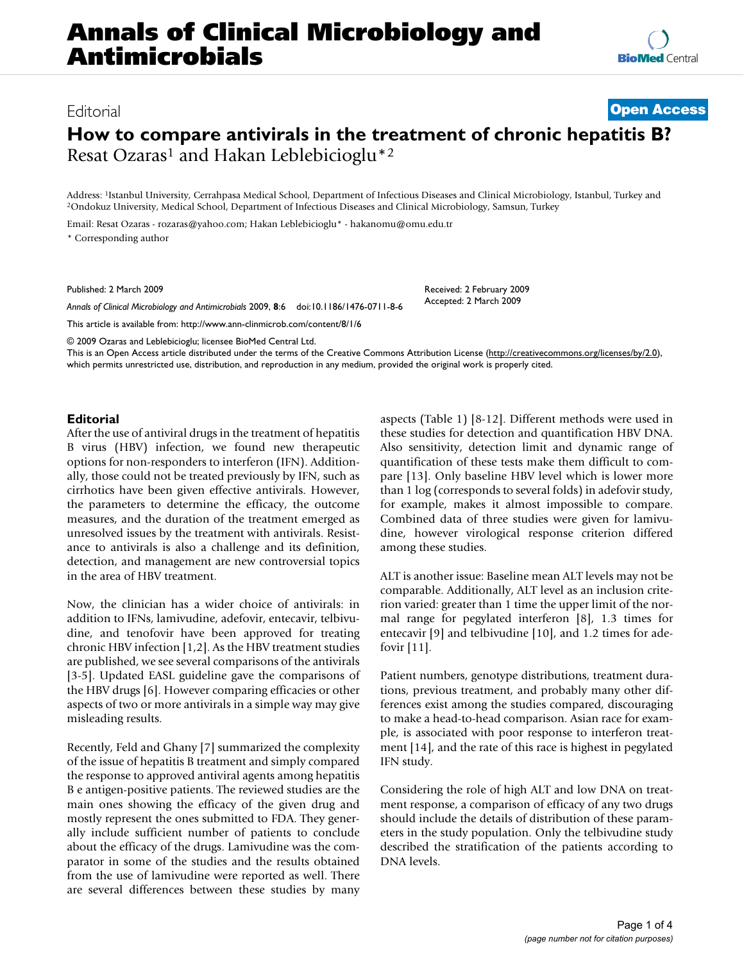# Editorial **[Open Access](http://www.biomedcentral.com/info/about/charter/)**

# **How to compare antivirals in the treatment of chronic hepatitis B?** Resat Ozaras<sup>1</sup> and Hakan Leblebicioglu<sup>\*2</sup>

Address: <sup>1</sup>Istanbul University, Cerrahpasa Medical School, Department of Infectious Diseases and Clinical Microbiology, Istanbul, Turkey and <sup>2</sup>Ondokuz University, Medical School, Department of Infectious Diseases and Cli

Email: Resat Ozaras - rozaras@yahoo.com; Hakan Leblebicioglu\* - hakanomu@omu.edu.tr

\* Corresponding author

Published: 2 March 2009

*Annals of Clinical Microbiology and Antimicrobials* 2009, **8**:6 doi:10.1186/1476-0711-8-6

[This article is available from: http://www.ann-clinmicrob.com/content/8/1/6](http://www.ann-clinmicrob.com/content/8/1/6)

© 2009 Ozaras and Leblebicioglu; licensee BioMed Central Ltd.

This is an Open Access article distributed under the terms of the Creative Commons Attribution License [\(http://creativecommons.org/licenses/by/2.0\)](http://creativecommons.org/licenses/by/2.0), which permits unrestricted use, distribution, and reproduction in any medium, provided the original work is properly cited.

#### **Editorial**

After the use of antiviral drugs in the treatment of hepatitis B virus (HBV) infection, we found new therapeutic options for non-responders to interferon (IFN). Additionally, those could not be treated previously by IFN, such as cirrhotics have been given effective antivirals. However, the parameters to determine the efficacy, the outcome measures, and the duration of the treatment emerged as unresolved issues by the treatment with antivirals. Resistance to antivirals is also a challenge and its definition, detection, and management are new controversial topics in the area of HBV treatment.

Now, the clinician has a wider choice of antivirals: in addition to IFNs, lamivudine, adefovir, entecavir, telbivudine, and tenofovir have been approved for treating chronic HBV infection [1,2]. As the HBV treatment studies are published, we see several comparisons of the antivirals [3-5]. Updated EASL guideline gave the comparisons of the HBV drugs [6]. However comparing efficacies or other aspects of two or more antivirals in a simple way may give misleading results.

Recently, Feld and Ghany [7] summarized the complexity of the issue of hepatitis B treatment and simply compared the response to approved antiviral agents among hepatitis B e antigen-positive patients. The reviewed studies are the main ones showing the efficacy of the given drug and mostly represent the ones submitted to FDA. They generally include sufficient number of patients to conclude about the efficacy of the drugs. Lamivudine was the comparator in some of the studies and the results obtained from the use of lamivudine were reported as well. There are several differences between these studies by many aspects (Table 1) [8-12]. Different methods were used in these studies for detection and quantification HBV DNA. Also sensitivity, detection limit and dynamic range of quantification of these tests make them difficult to compare [13]. Only baseline HBV level which is lower more than 1 log (corresponds to several folds) in adefovir study, for example, makes it almost impossible to compare. Combined data of three studies were given for lamivudine, however virological response criterion differed among these studies.

Received: 2 February 2009 Accepted: 2 March 2009

**[BioMed](http://www.biomedcentral.com/)** Central

ALT is another issue: Baseline mean ALT levels may not be comparable. Additionally, ALT level as an inclusion criterion varied: greater than 1 time the upper limit of the normal range for pegylated interferon [8], 1.3 times for entecavir [9] and telbivudine [10], and 1.2 times for adefovir [11].

Patient numbers, genotype distributions, treatment durations, previous treatment, and probably many other differences exist among the studies compared, discouraging to make a head-to-head comparison. Asian race for example, is associated with poor response to interferon treatment [14], and the rate of this race is highest in pegylated IFN study.

Considering the role of high ALT and low DNA on treatment response, a comparison of efficacy of any two drugs should include the details of distribution of these parameters in the study population. Only the telbivudine study described the stratification of the patients according to DNA levels.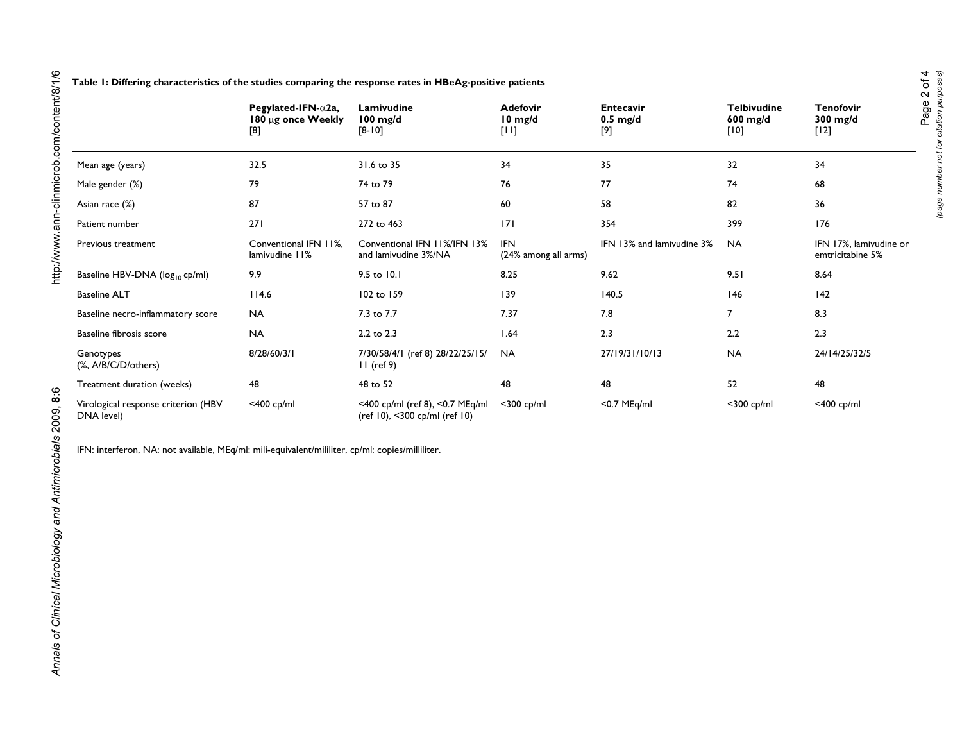|                                                   | Pegylated-IFN- $\alpha$ 2a,<br>180 µg once Weekly<br>[8] | Lamivudine<br>$100$ mg/d<br>$[8-10]$                             | <b>Adefovir</b><br>$10 \text{ mg/d}$<br>$[11]$ | <b>Entecavir</b><br>$0.5 \text{ mg/d}$<br>[9] | <b>Telbivudine</b><br>$600$ mg/d<br>$[10]$ | <b>Tenofovir</b><br>$300$ mg/d<br>$[12]$   |
|---------------------------------------------------|----------------------------------------------------------|------------------------------------------------------------------|------------------------------------------------|-----------------------------------------------|--------------------------------------------|--------------------------------------------|
|                                                   |                                                          |                                                                  |                                                |                                               |                                            |                                            |
| Mean age (years)                                  | 32.5                                                     | 31.6 to 35                                                       | 34                                             | 35                                            | 32                                         | 34                                         |
| Male gender (%)                                   | 79                                                       | 74 to 79                                                         | 76                                             | 77                                            | 74                                         | 68                                         |
| Asian race (%)                                    | 87                                                       | 57 to 87                                                         | 60                                             | 58                                            | 82                                         | 36                                         |
| Patient number                                    | 271                                                      | 272 to 463                                                       | 7                                              | 354                                           | 399                                        | 176                                        |
| Previous treatment                                | Conventional IFN 11%.<br>lamivudine 11%                  | Conventional IFN 11%/IFN 13%<br>and lamivudine 3%/NA             | <b>IFN</b><br>(24% among all arms)             | IFN 13% and lamivudine 3%                     | <b>NA</b>                                  | IFN 17%, lamivudine or<br>emtricitabine 5% |
| Baseline HBV-DNA ( $log_{10}$ cp/ml)              | 9.9                                                      | 9.5 to 10.1                                                      | 8.25                                           | 9.62                                          | 9.51                                       | 8.64                                       |
| <b>Baseline ALT</b>                               | 114.6                                                    | 102 to 159                                                       | 139                                            | 140.5                                         | 146                                        | 142                                        |
| Baseline necro-inflammatory score                 | <b>NA</b>                                                | 7.3 to 7.7                                                       | 7.37                                           | 7.8                                           | 7                                          | 8.3                                        |
| Baseline fibrosis score                           | <b>NA</b>                                                | 2.2 to 2.3                                                       | 1.64                                           | 2.3                                           | 2.2                                        | 2.3                                        |
| Genotypes<br>(%, A/B/C/D/others)                  | 8/28/60/3/1                                              | 7/30/58/4/1 (ref 8) 28/22/25/15/<br>$II$ (ref 9)                 | <b>NA</b>                                      | 27/19/31/10/13                                | <b>NA</b>                                  | 24/14/25/32/5                              |
| Treatment duration (weeks)                        | 48                                                       | 48 to 52                                                         | 48                                             | 48                                            | 52                                         | 48                                         |
| Virological response criterion (HBV<br>DNA level) | <400 cp/ml                                               | <400 cp/ml (ref 8), <0.7 MEq/ml<br>(ref 10), <300 cp/ml (ref 10) | $<$ 300 cp/ml                                  | $<$ 0.7 MEg/ml                                | $<$ 300 cp/ml                              | $<$ 400 cp/ml                              |

IFN: interferon, NA: not available, MEq/ml: mili-equivalent/mililiter, cp/ml: copies/milliliter.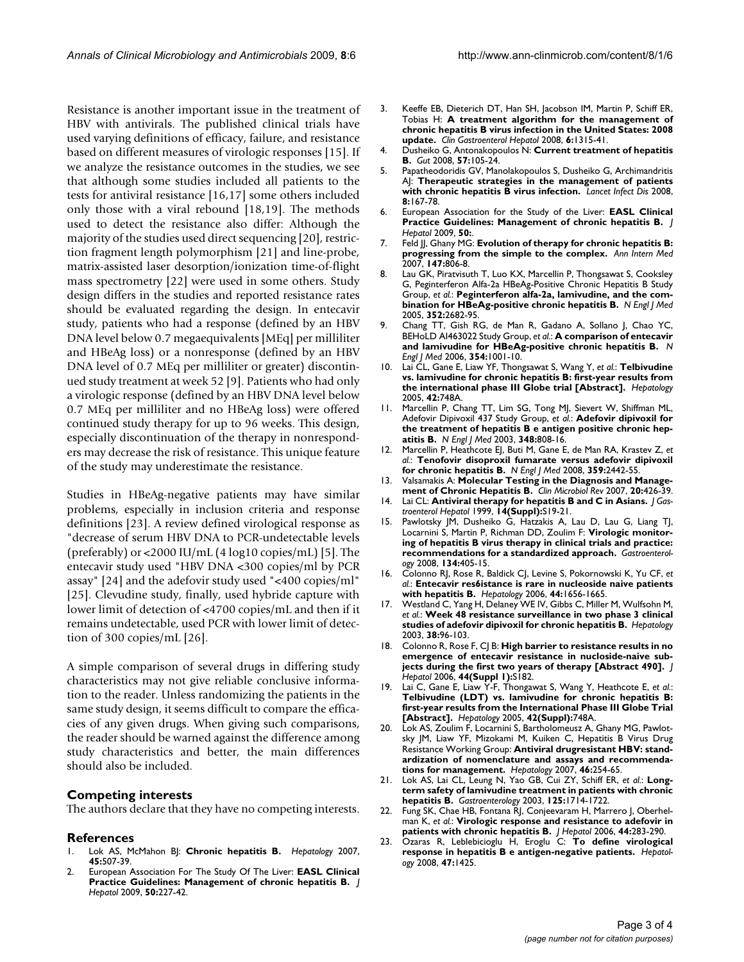Resistance is another important issue in the treatment of HBV with antivirals. The published clinical trials have used varying definitions of efficacy, failure, and resistance based on different measures of virologic responses [15]. If we analyze the resistance outcomes in the studies, we see that although some studies included all patients to the tests for antiviral resistance [16,17] some others included only those with a viral rebound [18,19]. The methods used to detect the resistance also differ: Although the majority of the studies used direct sequencing [20], restriction fragment length polymorphism [21] and line-probe, matrix-assisted laser desorption/ionization time-of-flight mass spectrometry [22] were used in some others. Study design differs in the studies and reported resistance rates should be evaluated regarding the design. In entecavir study, patients who had a response (defined by an HBV DNA level below 0.7 megaequivalents [MEq] per milliliter and HBeAg loss) or a nonresponse (defined by an HBV DNA level of 0.7 MEq per milliliter or greater) discontinued study treatment at week 52 [9]. Patients who had only a virologic response (defined by an HBV DNA level below 0.7 MEq per milliliter and no HBeAg loss) were offered continued study therapy for up to 96 weeks. This design, especially discontinuation of the therapy in nonresponders may decrease the risk of resistance. This unique feature of the study may underestimate the resistance.

Studies in HBeAg-negative patients may have similar problems, especially in inclusion criteria and response definitions [23]. A review defined virological response as "decrease of serum HBV DNA to PCR-undetectable levels (preferably) or <2000 IU/mL (4 log10 copies/mL) [5]. The entecavir study used "HBV DNA <300 copies/ml by PCR assay" [24] and the adefovir study used "<400 copies/ml" [25]. Clevudine study, finally, used hybride capture with lower limit of detection of <4700 copies/mL and then if it remains undetectable, used PCR with lower limit of detection of 300 copies/mL [26].

A simple comparison of several drugs in differing study characteristics may not give reliable conclusive information to the reader. Unless randomizing the patients in the same study design, it seems difficult to compare the efficacies of any given drugs. When giving such comparisons, the reader should be warned against the difference among study characteristics and better, the main differences should also be included.

## **Competing interests**

The authors declare that they have no competing interests.

## **References**

- 1. Lok AS, McMahon BJ: **[Chronic hepatitis B.](http://www.ncbi.nlm.nih.gov/entrez/query.fcgi?cmd=Retrieve&db=PubMed&dopt=Abstract&list_uids=17256718)** *Hepatology* 2007, **45:**507-39.
- 2. European Association For The Study Of The Liver: **[EASL Clinical](http://www.ncbi.nlm.nih.gov/entrez/query.fcgi?cmd=Retrieve&db=PubMed&dopt=Abstract&list_uids=19054588) [Practice Guidelines: Management of chronic hepatitis B.](http://www.ncbi.nlm.nih.gov/entrez/query.fcgi?cmd=Retrieve&db=PubMed&dopt=Abstract&list_uids=19054588)** *J Hepatol* 2009, **50:**227-42.
- 3. Keeffe EB, Dieterich DT, Han SH, Jacobson IM, Martin P, Schiff ER, Tobias H: **[A treatment algorithm for the management of](http://www.ncbi.nlm.nih.gov/entrez/query.fcgi?cmd=Retrieve&db=PubMed&dopt=Abstract&list_uids=18845489) [chronic hepatitis B virus infection in the United States: 2008](http://www.ncbi.nlm.nih.gov/entrez/query.fcgi?cmd=Retrieve&db=PubMed&dopt=Abstract&list_uids=18845489) [update.](http://www.ncbi.nlm.nih.gov/entrez/query.fcgi?cmd=Retrieve&db=PubMed&dopt=Abstract&list_uids=18845489)** *Clin Gastroenterol Hepatol* 2008, **6:**1315-41.
- 4. Dusheiko G, Antonakopoulos N: **[Current treatment of hepatitis](http://www.ncbi.nlm.nih.gov/entrez/query.fcgi?cmd=Retrieve&db=PubMed&dopt=Abstract&list_uids=17502343) [B.](http://www.ncbi.nlm.nih.gov/entrez/query.fcgi?cmd=Retrieve&db=PubMed&dopt=Abstract&list_uids=17502343)** *Gut* 2008, **57:**105-24.
- 5. Papatheodoridis GV, Manolakopoulos S, Dusheiko G, Archimandritis AJ: **[Therapeutic strategies in the management of patients](http://www.ncbi.nlm.nih.gov/entrez/query.fcgi?cmd=Retrieve&db=PubMed&dopt=Abstract&list_uids=18053766) [with chronic hepatitis B virus infection.](http://www.ncbi.nlm.nih.gov/entrez/query.fcgi?cmd=Retrieve&db=PubMed&dopt=Abstract&list_uids=18053766)** *Lancet Infect Dis* 2008, **8:**167-78.
- 6. European Association for the Study of the Liver: **[EASL Clinical](http://www.ncbi.nlm.nih.gov/entrez/query.fcgi?cmd=Retrieve&db=PubMed&dopt=Abstract&list_uids=19054588) [Practice Guidelines: Management of chronic hepatitis B.](http://www.ncbi.nlm.nih.gov/entrez/query.fcgi?cmd=Retrieve&db=PubMed&dopt=Abstract&list_uids=19054588)** *J Hepatol* 2009, **50:**.
- 7. Feld JJ, Ghany MG: **[Evolution of therapy for chronic hepatitis B:](http://www.ncbi.nlm.nih.gov/entrez/query.fcgi?cmd=Retrieve&db=PubMed&dopt=Abstract&list_uids=18056667) [progressing from the simple to the complex.](http://www.ncbi.nlm.nih.gov/entrez/query.fcgi?cmd=Retrieve&db=PubMed&dopt=Abstract&list_uids=18056667)** *Ann Intern Med* 2007, **147:**806-8.
- 8. Lau GK, Piratvisuth T, Luo KX, Marcellin P, Thongsawat S, Cooksley G, Peginterferon Alfa-2a HBeAg-Positive Chronic Hepatitis B Study Group, *et al.*: **[Peginterferon alfa-2a, lamivudine, and the com](http://www.ncbi.nlm.nih.gov/entrez/query.fcgi?cmd=Retrieve&db=PubMed&dopt=Abstract&list_uids=15987917)[bination for HBeAg-positive chronic hepatitis B.](http://www.ncbi.nlm.nih.gov/entrez/query.fcgi?cmd=Retrieve&db=PubMed&dopt=Abstract&list_uids=15987917)** *N Engl J Med* 2005, **352:**2682-95.
- 9. Chang TT, Gish RG, de Man R, Gadano A, Sollano J, Chao YC, BEHoLD AI463022 Study Group, *et al.*: **[A comparison of entecavir](http://www.ncbi.nlm.nih.gov/entrez/query.fcgi?cmd=Retrieve&db=PubMed&dopt=Abstract&list_uids=16525137) [and lamivudine for HBeAg-positive chronic hepatitis B.](http://www.ncbi.nlm.nih.gov/entrez/query.fcgi?cmd=Retrieve&db=PubMed&dopt=Abstract&list_uids=16525137)** *N Engl J Med* 2006, **354:**1001-10.
- 10. Lai CL, Gane E, Liaw YF, Thongsawat S, Wang Y, *et al.*: **Telbivudine vs. lamivudine for chronic hepatitis B: first-year results from the international phase III Globe trial [Abstract].** *Hepatology* 2005, **42:**748A.
- 11. Marcellin P, Chang TT, Lim SG, Tong MJ, Sievert W, Shiffman ML, Adefovir Dipivoxil 437 Study Group, *et al.*: **[Adefovir dipivoxil for](http://www.ncbi.nlm.nih.gov/entrez/query.fcgi?cmd=Retrieve&db=PubMed&dopt=Abstract&list_uids=12606735) [the treatment of hepatitis B e antigen positive chronic hep](http://www.ncbi.nlm.nih.gov/entrez/query.fcgi?cmd=Retrieve&db=PubMed&dopt=Abstract&list_uids=12606735)[atitis B.](http://www.ncbi.nlm.nih.gov/entrez/query.fcgi?cmd=Retrieve&db=PubMed&dopt=Abstract&list_uids=12606735)** *N Engl J Med* 2003, **348:**808-16.
- 12. Marcellin P, Heathcote EJ, Buti M, Gane E, de Man RA, Krastev Z, *et al.*: **[Tenofovir disoproxil fumarate versus adefovir dipivoxil](http://www.ncbi.nlm.nih.gov/entrez/query.fcgi?cmd=Retrieve&db=PubMed&dopt=Abstract&list_uids=19052126) [for chronic hepatitis B.](http://www.ncbi.nlm.nih.gov/entrez/query.fcgi?cmd=Retrieve&db=PubMed&dopt=Abstract&list_uids=19052126)** *N Engl J Med* 2008, **359:**2442-55.
- 13. Valsamakis A: **[Molecular Testing in the Diagnosis and Manage](http://www.ncbi.nlm.nih.gov/entrez/query.fcgi?cmd=Retrieve&db=PubMed&dopt=Abstract&list_uids=17630333)[ment of Chronic Hepatitis B.](http://www.ncbi.nlm.nih.gov/entrez/query.fcgi?cmd=Retrieve&db=PubMed&dopt=Abstract&list_uids=17630333)** *Clin Microbiol Rev* 2007, **20:**426-39.
- 14. Lai CL: **[Antiviral therapy for hepatitis B and C in Asians.](http://www.ncbi.nlm.nih.gov/entrez/query.fcgi?cmd=Retrieve&db=PubMed&dopt=Abstract&list_uids=10382633)** *J Gastroenterol Hepatol* 1999, **14(Suppl):**S19-21.
- 15. Pawlotsky JM, Dusheiko G, Hatzakis A, Lau D, Lau G, Liang TJ, Locarnini S, Martin P, Richman DD, Zoulim F: **[Virologic monitor](http://www.ncbi.nlm.nih.gov/entrez/query.fcgi?cmd=Retrieve&db=PubMed&dopt=Abstract&list_uids=18242209)[ing of hepatitis B virus therapy in clinical trials and practice:](http://www.ncbi.nlm.nih.gov/entrez/query.fcgi?cmd=Retrieve&db=PubMed&dopt=Abstract&list_uids=18242209) [recommendations for a standardized approach.](http://www.ncbi.nlm.nih.gov/entrez/query.fcgi?cmd=Retrieve&db=PubMed&dopt=Abstract&list_uids=18242209)** *Gastroenterology* 2008, **134:**405-15.
- 16. Colonno RJ, Rose R, Baldick CJ, Levine S, Pokornowski K, Yu CF, *et al.*: **[Entecavir res6istance is rare in nucleoside naive patients](http://www.ncbi.nlm.nih.gov/entrez/query.fcgi?cmd=Retrieve&db=PubMed&dopt=Abstract&list_uids=17133475) [with hepatitis B.](http://www.ncbi.nlm.nih.gov/entrez/query.fcgi?cmd=Retrieve&db=PubMed&dopt=Abstract&list_uids=17133475)** *Hepatology* 2006, **44:**1656-1665.
- 17. Westland C, Yang H, Delaney WE IV, Gibbs C, Miller M, Wulfsohn M, *et al.*: **[Week 48 resistance surveillance in two phase 3 clinical](http://www.ncbi.nlm.nih.gov/entrez/query.fcgi?cmd=Retrieve&db=PubMed&dopt=Abstract&list_uids=12829991) [studies of adefovir dipivoxil for chronic hepatitis B.](http://www.ncbi.nlm.nih.gov/entrez/query.fcgi?cmd=Retrieve&db=PubMed&dopt=Abstract&list_uids=12829991)** *Hepatology* 2003, **38:**96-103.
- 18. Colonno R, Rose F, CJ B: **High barrier to resistance results in no emergence of entecavir resistance in nucloside-naive subjects during the first two years of therapy [Abstract 490].** *J Hepatol* 2006, **44(Suppl 1):**S182.
- 19. Lai C, Gane E, Liaw Y-F, Thongawat S, Wang Y, Heathcote E, *et al.*: **Telbivudine (LDT) vs. lamivudine for chronic hepatitis B: first-year results from the International Phase III Globe Trial [Abstract].** *Hepatology* 2005, **42(Suppl):**748A.
- 20. Lok AS, Zoulim F, Locarnini S, Bartholomeusz A, Ghany MG, Pawlotsky JM, Liaw YF, Mizokami M, Kuiken C, Hepatitis B Virus Drug Resistance Working Group: **[Antiviral drugresistant HBV: stand](http://www.ncbi.nlm.nih.gov/entrez/query.fcgi?cmd=Retrieve&db=PubMed&dopt=Abstract&list_uids=17596850)[ardization of nomenclature and assays and recommenda](http://www.ncbi.nlm.nih.gov/entrez/query.fcgi?cmd=Retrieve&db=PubMed&dopt=Abstract&list_uids=17596850)[tions for management.](http://www.ncbi.nlm.nih.gov/entrez/query.fcgi?cmd=Retrieve&db=PubMed&dopt=Abstract&list_uids=17596850)** *Hepatology* 2007, **46:**254-65.
- 21. Lok AS, Lai CL, Leung N, Yao GB, Cui ZY, Schiff ER, *et al.*: **[Long](http://www.ncbi.nlm.nih.gov/entrez/query.fcgi?cmd=Retrieve&db=PubMed&dopt=Abstract&list_uids=14724824)[term safety of lamivudine treatment in patients with chronic](http://www.ncbi.nlm.nih.gov/entrez/query.fcgi?cmd=Retrieve&db=PubMed&dopt=Abstract&list_uids=14724824) [hepatitis B.](http://www.ncbi.nlm.nih.gov/entrez/query.fcgi?cmd=Retrieve&db=PubMed&dopt=Abstract&list_uids=14724824)** *Gastroenterology* 2003, **125:**1714-1722.
- 22. Fung SK, Chae HB, Fontana RJ, Conjeevaram H, Marrero J, Oberhelman K, *et al.*: **[Virologic response and resistance to adefovir in](http://www.ncbi.nlm.nih.gov/entrez/query.fcgi?cmd=Retrieve&db=PubMed&dopt=Abstract&list_uids=16338024) [patients with chronic hepatitis B.](http://www.ncbi.nlm.nih.gov/entrez/query.fcgi?cmd=Retrieve&db=PubMed&dopt=Abstract&list_uids=16338024)** *J Hepatol* 2006, **44:**283-290.
- 23. Ozaras R, Leblebicioglu H, Eroglu C: **[To define virological](http://www.ncbi.nlm.nih.gov/entrez/query.fcgi?cmd=Retrieve&db=PubMed&dopt=Abstract&list_uids=18322938) [response in hepatitis B e antigen-negative patients.](http://www.ncbi.nlm.nih.gov/entrez/query.fcgi?cmd=Retrieve&db=PubMed&dopt=Abstract&list_uids=18322938)** *Hepatology* 2008, **47:**1425.